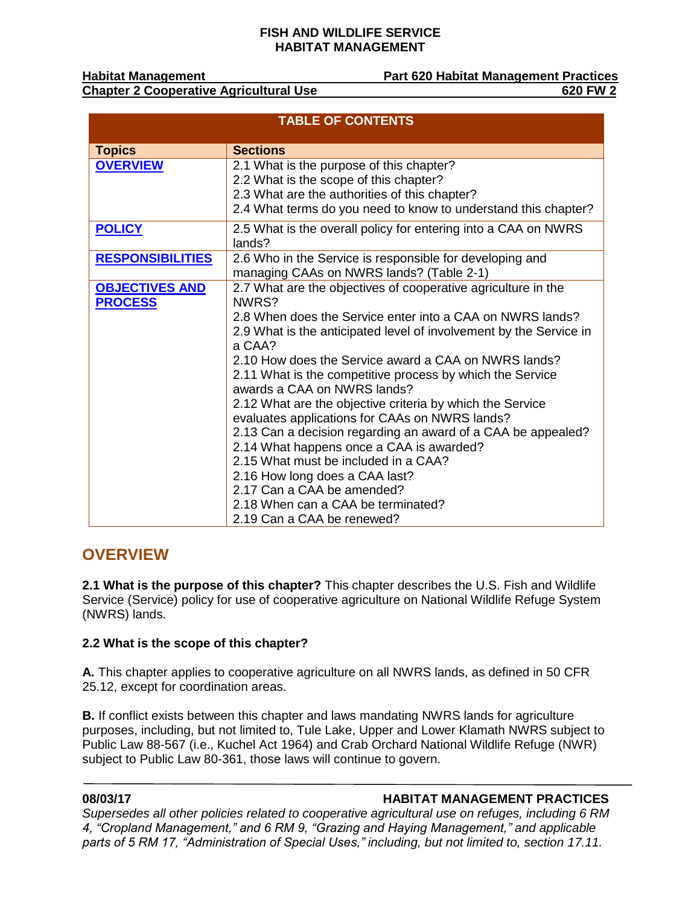**Chapter 2 Cooperative Agricultural Use 620 FW 2** 

**Habitat Management Part 620 Habitat Management Practices**

| <b>TABLE OF CONTENTS</b>                |                                                                                                                                                                                                                                                                                                                                                                                                                                                                                                                                                                                                                                                                                                                                                                                |
|-----------------------------------------|--------------------------------------------------------------------------------------------------------------------------------------------------------------------------------------------------------------------------------------------------------------------------------------------------------------------------------------------------------------------------------------------------------------------------------------------------------------------------------------------------------------------------------------------------------------------------------------------------------------------------------------------------------------------------------------------------------------------------------------------------------------------------------|
| <b>Topics</b>                           | <b>Sections</b>                                                                                                                                                                                                                                                                                                                                                                                                                                                                                                                                                                                                                                                                                                                                                                |
| <b>OVERVIEW</b>                         | 2.1 What is the purpose of this chapter?<br>2.2 What is the scope of this chapter?<br>2.3 What are the authorities of this chapter?                                                                                                                                                                                                                                                                                                                                                                                                                                                                                                                                                                                                                                            |
|                                         | 2.4 What terms do you need to know to understand this chapter?                                                                                                                                                                                                                                                                                                                                                                                                                                                                                                                                                                                                                                                                                                                 |
| <b>POLICY</b>                           | 2.5 What is the overall policy for entering into a CAA on NWRS<br>lands?                                                                                                                                                                                                                                                                                                                                                                                                                                                                                                                                                                                                                                                                                                       |
| <b>RESPONSIBILITIES</b>                 | 2.6 Who in the Service is responsible for developing and<br>managing CAAs on NWRS lands? (Table 2-1)                                                                                                                                                                                                                                                                                                                                                                                                                                                                                                                                                                                                                                                                           |
| <b>OBJECTIVES AND</b><br><b>PROCESS</b> | 2.7 What are the objectives of cooperative agriculture in the<br>NWRS?<br>2.8 When does the Service enter into a CAA on NWRS lands?<br>2.9 What is the anticipated level of involvement by the Service in<br>a CAA?<br>2.10 How does the Service award a CAA on NWRS lands?<br>2.11 What is the competitive process by which the Service<br>awards a CAA on NWRS lands?<br>2.12 What are the objective criteria by which the Service<br>evaluates applications for CAAs on NWRS lands?<br>2.13 Can a decision regarding an award of a CAA be appealed?<br>2.14 What happens once a CAA is awarded?<br>2.15 What must be included in a CAA?<br>2.16 How long does a CAA last?<br>2.17 Can a CAA be amended?<br>2.18 When can a CAA be terminated?<br>2.19 Can a CAA be renewed? |

## <span id="page-0-0"></span>**OVERVIEW**

**2.1 What is the purpose of this chapter?** This chapter describes the U.S. Fish and Wildlife Service (Service) policy for use of cooperative agriculture on National Wildlife Refuge System (NWRS) lands.

### **2.2 What is the scope of this chapter?**

**A.** This chapter applies to cooperative agriculture on all NWRS lands, as defined in 50 CFR 25.12, except for coordination areas.

**B.** If conflict exists between this chapter and laws mandating NWRS lands for agriculture purposes, including, but not limited to, Tule Lake, Upper and Lower Klamath NWRS subject to Public Law 88-567 (i.e., Kuchel Act 1964) and Crab Orchard National Wildlife Refuge (NWR) subject to Public Law 80-361, those laws will continue to govern.

### **08/03/17 HABITAT MANAGEMENT PRACTICES**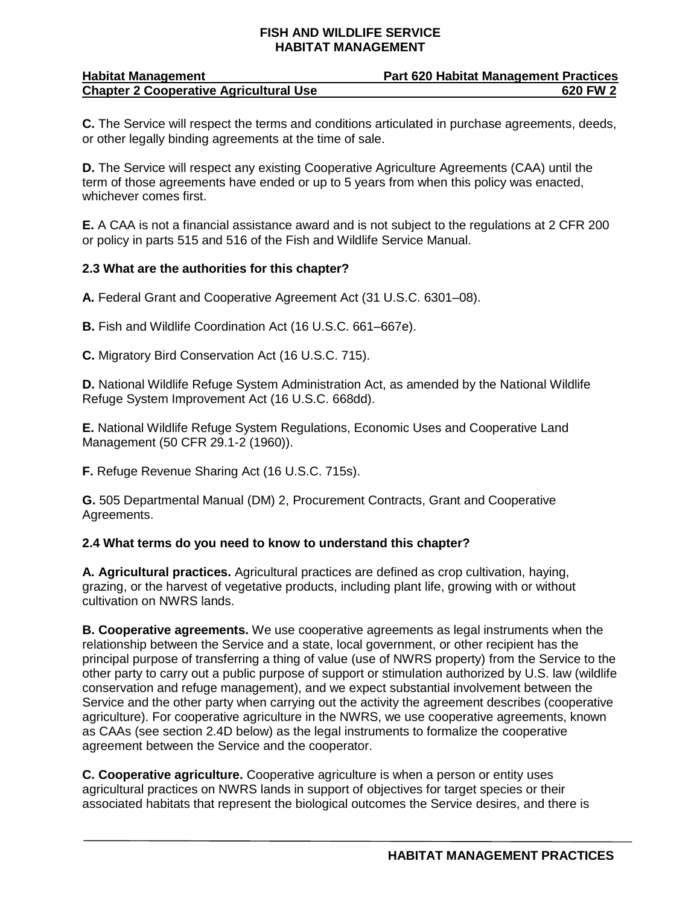| <b>Habitat Management</b>                     | <b>Part 620 Habitat Management Practices</b> |
|-----------------------------------------------|----------------------------------------------|
| <b>Chapter 2 Cooperative Agricultural Use</b> | 620 FW 2                                     |

**C.** The Service will respect the terms and conditions articulated in purchase agreements, deeds, or other legally binding agreements at the time of sale.

**D.** The Service will respect any existing Cooperative Agriculture Agreements (CAA) until the term of those agreements have ended or up to 5 years from when this policy was enacted, whichever comes first.

**E.** A CAA is not a financial assistance award and is not subject to the regulations at 2 CFR 200 or policy in parts 515 and 516 of the Fish and Wildlife Service Manual.

#### **2.3 What are the authorities for this chapter?**

**A.** Federal Grant and Cooperative Agreement Act (31 U.S.C. 6301–08).

**B.** Fish and Wildlife Coordination Act (16 U.S.C. 661–667e).

**C.** Migratory Bird Conservation Act (16 U.S.C. 715).

**D.** National Wildlife Refuge System Administration Act, as amended by the National Wildlife Refuge System Improvement Act (16 U.S.C. 668dd).

**E.** National Wildlife Refuge System Regulations, Economic Uses and Cooperative Land Management (50 CFR 29.1-2 (1960)).

**F.** Refuge Revenue Sharing Act (16 U.S.C. 715s).

**G.** 505 Departmental Manual (DM) 2, Procurement Contracts, Grant and Cooperative Agreements.

#### **2.4 What terms do you need to know to understand this chapter?**

**A. Agricultural practices.** Agricultural practices are defined as crop cultivation, haying, grazing, or the harvest of vegetative products, including plant life, growing with or without cultivation on NWRS lands.

**B. Cooperative agreements.** We use cooperative agreements as legal instruments when the relationship between the Service and a state, local government, or other recipient has the principal purpose of transferring a thing of value (use of NWRS property) from the Service to the other party to carry out a public purpose of support or stimulation authorized by U.S. law (wildlife conservation and refuge management), and we expect substantial involvement between the Service and the other party when carrying out the activity the agreement describes (cooperative agriculture). For cooperative agriculture in the NWRS, we use cooperative agreements, known as CAAs (see section 2.4D below) as the legal instruments to formalize the cooperative agreement between the Service and the cooperator.

**C. Cooperative agriculture.** Cooperative agriculture is when a person or entity uses agricultural practices on NWRS lands in support of objectives for target species or their associated habitats that represent the biological outcomes the Service desires, and there is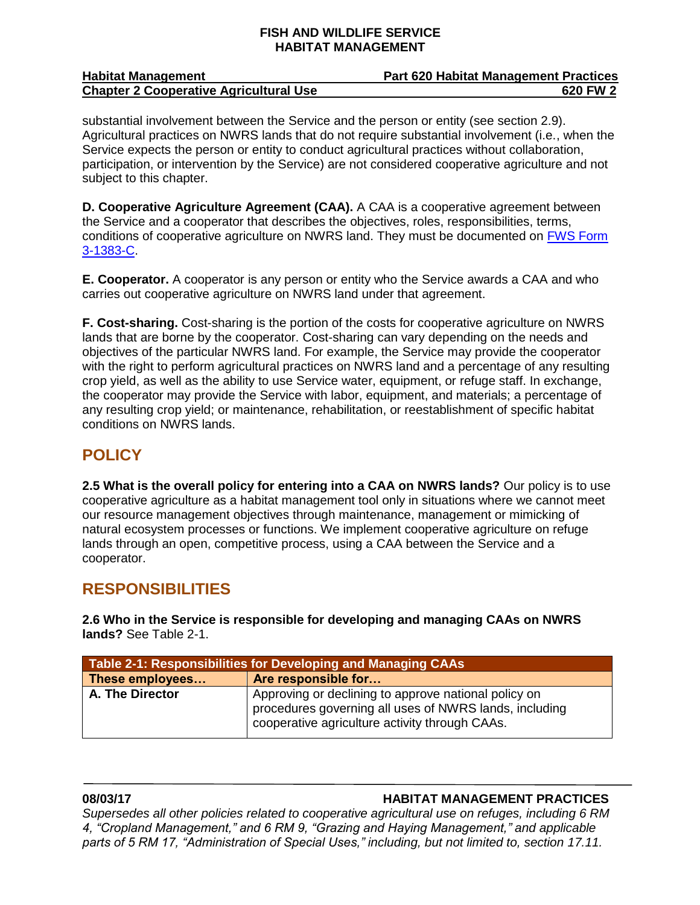| <b>Habitat Management</b>                     | <b>Part 620 Habitat Management Practices</b> |
|-----------------------------------------------|----------------------------------------------|
| <b>Chapter 2 Cooperative Agricultural Use</b> | 620 FW 2                                     |

substantial involvement between the Service and the person or entity (see section 2.9). Agricultural practices on NWRS lands that do not require substantial involvement (i.e., when the Service expects the person or entity to conduct agricultural practices without collaboration, participation, or intervention by the Service) are not considered cooperative agriculture and not subject to this chapter.

**D. Cooperative Agriculture Agreement (CAA).** A CAA is a cooperative agreement between the Service and a cooperator that describes the objectives, roles, responsibilities, terms, conditions of cooperative agriculture on NWRS land. They must be documented on [FWS Form](https://www.fws.gov/forms/display.cfm?number1=1300)  [3-1383-C.](https://www.fws.gov/forms/display.cfm?number1=1300)

**E. Cooperator.** A cooperator is any person or entity who the Service awards a CAA and who carries out cooperative agriculture on NWRS land under that agreement.

**F. Cost-sharing.** Cost-sharing is the portion of the costs for cooperative agriculture on NWRS lands that are borne by the cooperator. Cost-sharing can vary depending on the needs and objectives of the particular NWRS land. For example, the Service may provide the cooperator with the right to perform agricultural practices on NWRS land and a percentage of any resulting crop yield, as well as the ability to use Service water, equipment, or refuge staff. In exchange, the cooperator may provide the Service with labor, equipment, and materials; a percentage of any resulting crop yield; or maintenance, rehabilitation, or reestablishment of specific habitat conditions on NWRS lands.

## <span id="page-2-0"></span>**POLICY**

**2.5 What is the overall policy for entering into a CAA on NWRS lands?** Our policy is to use cooperative agriculture as a habitat management tool only in situations where we cannot meet our resource management objectives through maintenance, management or mimicking of natural ecosystem processes or functions. We implement cooperative agriculture on refuge lands through an open, competitive process, using a CAA between the Service and a cooperator.

## <span id="page-2-1"></span>**RESPONSIBILITIES**

**2.6 Who in the Service is responsible for developing and managing CAAs on NWRS lands?** See Table 2-1.

| Table 2-1: Responsibilities for Developing and Managing CAAs |                                                                                                                                                                  |  |
|--------------------------------------------------------------|------------------------------------------------------------------------------------------------------------------------------------------------------------------|--|
| These employees                                              | Are responsible for                                                                                                                                              |  |
| A. The Director                                              | Approving or declining to approve national policy on<br>procedures governing all uses of NWRS lands, including<br>cooperative agriculture activity through CAAs. |  |

### **08/03/17 HABITAT MANAGEMENT PRACTICES**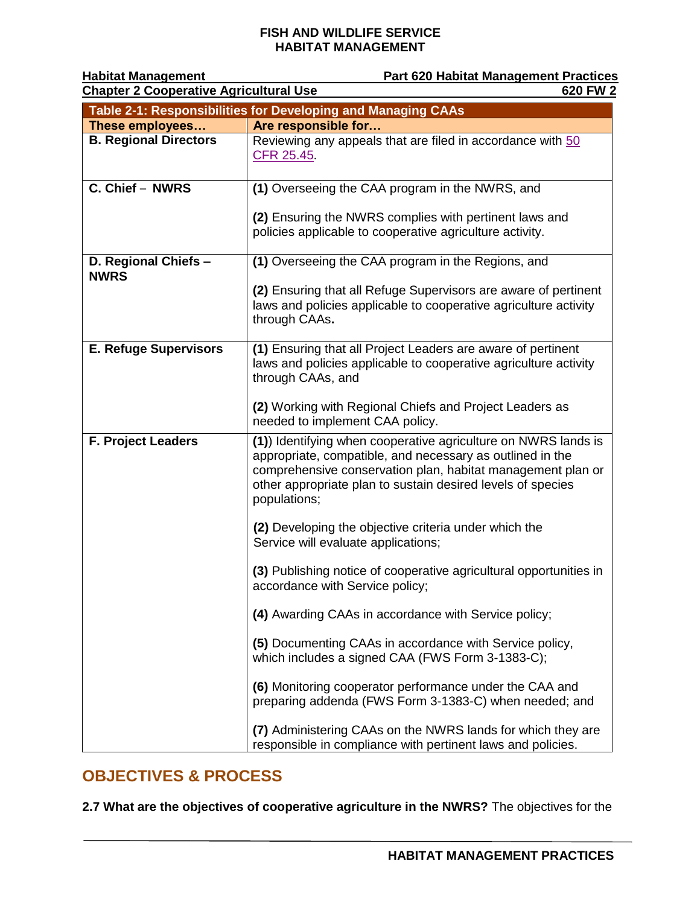| <b>Habitat Management</b>                                    | <b>Part 620 Habitat Management Practices</b>                                                                                                                                                                                                                             |
|--------------------------------------------------------------|--------------------------------------------------------------------------------------------------------------------------------------------------------------------------------------------------------------------------------------------------------------------------|
| <b>Chapter 2 Cooperative Agricultural Use</b>                | 620 FW 2                                                                                                                                                                                                                                                                 |
| Table 2-1: Responsibilities for Developing and Managing CAAs |                                                                                                                                                                                                                                                                          |
| These employees                                              | Are responsible for                                                                                                                                                                                                                                                      |
| <b>B. Regional Directors</b>                                 | Reviewing any appeals that are filed in accordance with 50<br>CFR 25.45                                                                                                                                                                                                  |
| C. Chief - NWRS                                              | (1) Overseeing the CAA program in the NWRS, and                                                                                                                                                                                                                          |
|                                                              | (2) Ensuring the NWRS complies with pertinent laws and<br>policies applicable to cooperative agriculture activity.                                                                                                                                                       |
| D. Regional Chiefs -<br><b>NWRS</b>                          | (1) Overseeing the CAA program in the Regions, and                                                                                                                                                                                                                       |
|                                                              | (2) Ensuring that all Refuge Supervisors are aware of pertinent<br>laws and policies applicable to cooperative agriculture activity<br>through CAAs.                                                                                                                     |
| <b>E. Refuge Supervisors</b>                                 | (1) Ensuring that all Project Leaders are aware of pertinent<br>laws and policies applicable to cooperative agriculture activity<br>through CAAs, and                                                                                                                    |
|                                                              | (2) Working with Regional Chiefs and Project Leaders as<br>needed to implement CAA policy.                                                                                                                                                                               |
| <b>F. Project Leaders</b>                                    | (1) Identifying when cooperative agriculture on NWRS lands is<br>appropriate, compatible, and necessary as outlined in the<br>comprehensive conservation plan, habitat management plan or<br>other appropriate plan to sustain desired levels of species<br>populations; |
|                                                              | (2) Developing the objective criteria under which the<br>Service will evaluate applications;                                                                                                                                                                             |
|                                                              | (3) Publishing notice of cooperative agricultural opportunities in<br>accordance with Service policy;                                                                                                                                                                    |
|                                                              | (4) Awarding CAAs in accordance with Service policy;                                                                                                                                                                                                                     |
|                                                              | (5) Documenting CAAs in accordance with Service policy,<br>which includes a signed CAA (FWS Form 3-1383-C);                                                                                                                                                              |
|                                                              | (6) Monitoring cooperator performance under the CAA and<br>preparing addenda (FWS Form 3-1383-C) when needed; and                                                                                                                                                        |
|                                                              | (7) Administering CAAs on the NWRS lands for which they are<br>responsible in compliance with pertinent laws and policies.                                                                                                                                               |

# <span id="page-3-0"></span>**OBJECTIVES & PROCESS**

**2.7 What are the objectives of cooperative agriculture in the NWRS?** The objectives for the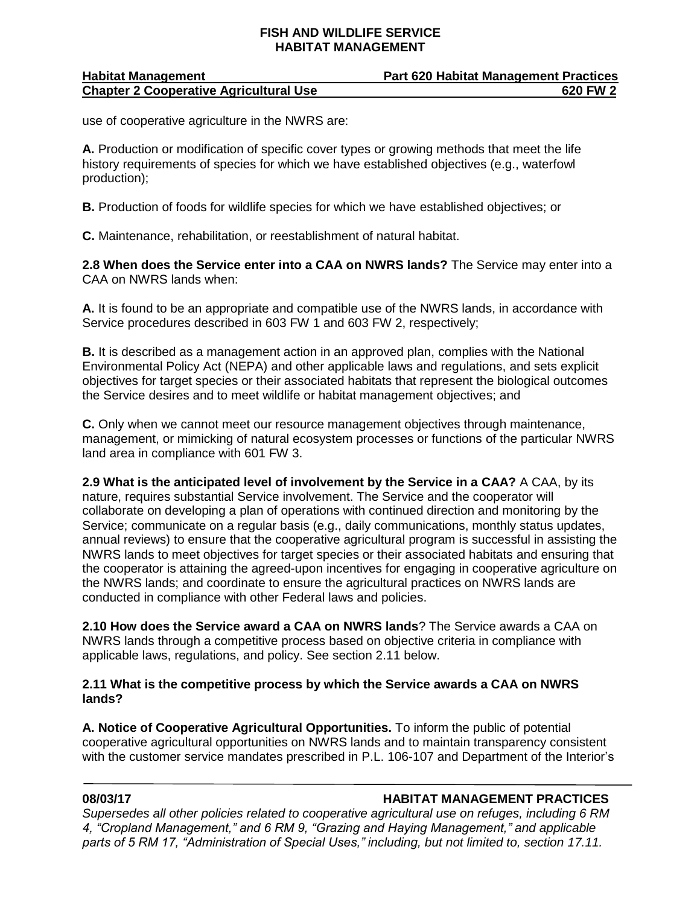| <b>Habitat Management</b>                     | <b>Part 620 Habitat Management Practices</b> |
|-----------------------------------------------|----------------------------------------------|
| <b>Chapter 2 Cooperative Agricultural Use</b> | 620 FW 2                                     |

use of cooperative agriculture in the NWRS are:

**A.** Production or modification of specific cover types or growing methods that meet the life history requirements of species for which we have established objectives (e.g., waterfowl production);

**B.** Production of foods for wildlife species for which we have established objectives; or

**C.** Maintenance, rehabilitation, or reestablishment of natural habitat.

**2.8 When does the Service enter into a CAA on NWRS lands?** The Service may enter into a CAA on NWRS lands when:

**A.** It is found to be an appropriate and compatible use of the NWRS lands, in accordance with Service procedures described in 603 FW 1 and 603 FW 2, respectively;

**B.** It is described as a management action in an approved plan, complies with the National Environmental Policy Act (NEPA) and other applicable laws and regulations, and sets explicit objectives for target species or their associated habitats that represent the biological outcomes the Service desires and to meet wildlife or habitat management objectives; and

**C.** Only when we cannot meet our resource management objectives through maintenance, management, or mimicking of natural ecosystem processes or functions of the particular NWRS land area in compliance with 601 FW 3.

**2.9 What is the anticipated level of involvement by the Service in a CAA?** A CAA, by its nature, requires substantial Service involvement. The Service and the cooperator will collaborate on developing a plan of operations with continued direction and monitoring by the Service; communicate on a regular basis (e.g., daily communications, monthly status updates, annual reviews) to ensure that the cooperative agricultural program is successful in assisting the NWRS lands to meet objectives for target species or their associated habitats and ensuring that the cooperator is attaining the agreed-upon incentives for engaging in cooperative agriculture on the NWRS lands; and coordinate to ensure the agricultural practices on NWRS lands are conducted in compliance with other Federal laws and policies.

**2.10 How does the Service award a CAA on NWRS lands**? The Service awards a CAA on NWRS lands through a competitive process based on objective criteria in compliance with applicable laws, regulations, and policy. See section 2.11 below.

### **2.11 What is the competitive process by which the Service awards a CAA on NWRS lands?**

**A. Notice of Cooperative Agricultural Opportunities.** To inform the public of potential cooperative agricultural opportunities on NWRS lands and to maintain transparency consistent with the customer service mandates prescribed in P.L. 106-107 and Department of the Interior's

### **08/03/17 HABITAT MANAGEMENT PRACTICES**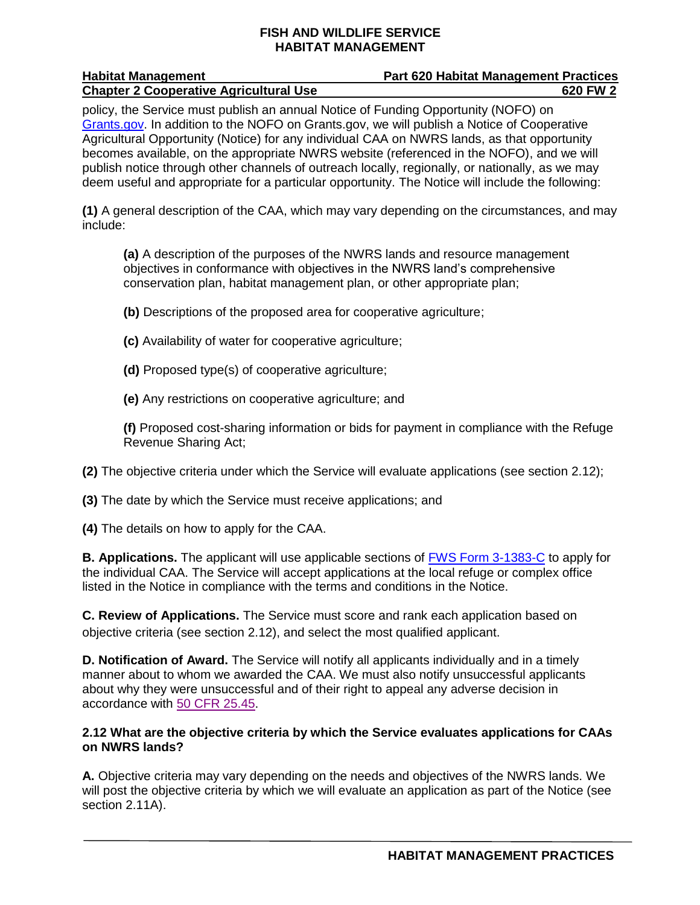| <b>Habitat Management</b>                     | <b>Part 620 Habitat Management Practices</b> |
|-----------------------------------------------|----------------------------------------------|
| <b>Chapter 2 Cooperative Agricultural Use</b> | 620 FW 2                                     |
|                                               |                                              |

policy, the Service must publish an annual Notice of Funding Opportunity (NOFO) on [Grants.gov.](http://www.grants.gov/) In addition to the NOFO on Grants.gov, we will publish a Notice of Cooperative Agricultural Opportunity (Notice) for any individual CAA on NWRS lands, as that opportunity becomes available, on the appropriate NWRS website (referenced in the NOFO), and we will publish notice through other channels of outreach locally, regionally, or nationally, as we may deem useful and appropriate for a particular opportunity. The Notice will include the following:

**(1)** A general description of the CAA, which may vary depending on the circumstances, and may include:

**(a)** A description of the purposes of the NWRS lands and resource management objectives in conformance with objectives in the NWRS land's comprehensive conservation plan, habitat management plan, or other appropriate plan;

**(b)** Descriptions of the proposed area for cooperative agriculture;

- **(c)** Availability of water for cooperative agriculture;
- **(d)** Proposed type(s) of cooperative agriculture;
- **(e)** Any restrictions on cooperative agriculture; and

**(f)** Proposed cost-sharing information or bids for payment in compliance with the Refuge Revenue Sharing Act;

**(2)** The objective criteria under which the Service will evaluate applications (see section 2.12);

**(3)** The date by which the Service must receive applications; and

**(4)** The details on how to apply for the CAA.

**B. Applications.** The applicant will use applicable sections of [FWS Form 3-1383-C](https://www.fws.gov/forms/display.cfm?number1=1300) to apply for the individual CAA. The Service will accept applications at the local refuge or complex office listed in the Notice in compliance with the terms and conditions in the Notice.

**C. Review of Applications.** The Service must score and rank each application based on objective criteria (see section 2.12), and select the most qualified applicant.

**D. Notification of Award.** The Service will notify all applicants individually and in a timely manner about to whom we awarded the CAA. We must also notify unsuccessful applicants about why they were unsuccessful and of their right to appeal any adverse decision in accordance with [50 CFR 25.45.](http://www.ecfr.gov/)

### **2.12 What are the objective criteria by which the Service evaluates applications for CAAs on NWRS lands?**

**A.** Objective criteria may vary depending on the needs and objectives of the NWRS lands. We will post the objective criteria by which we will evaluate an application as part of the Notice (see section 2.11A).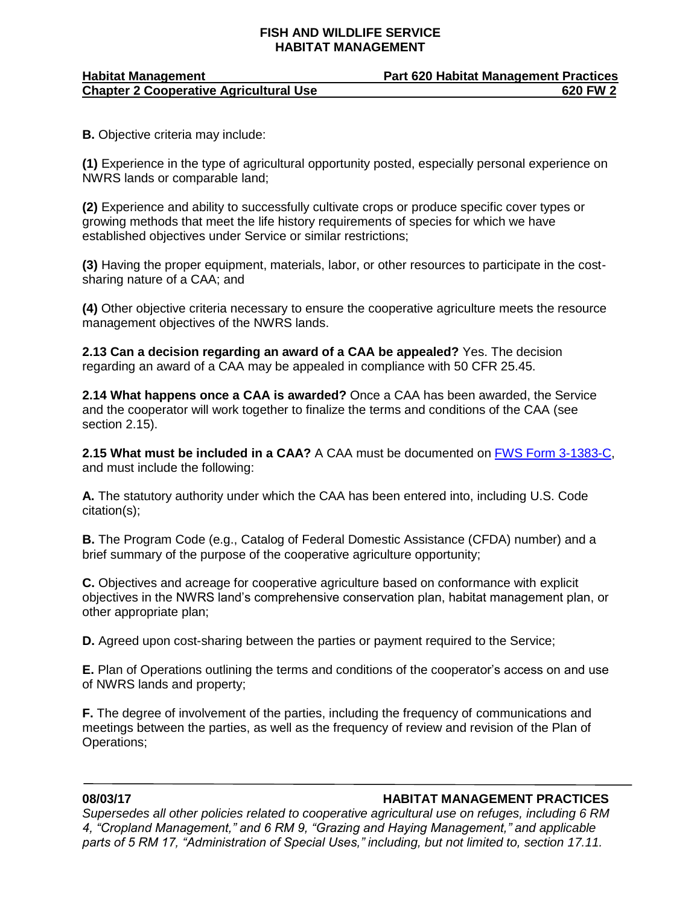| <b>Habitat Management</b>                     | <b>Part 620 Habitat Management Practices</b> |
|-----------------------------------------------|----------------------------------------------|
| <b>Chapter 2 Cooperative Agricultural Use</b> | 620 FW 2                                     |

**B.** Objective criteria may include:

**(1)** Experience in the type of agricultural opportunity posted, especially personal experience on NWRS lands or comparable land;

**(2)** Experience and ability to successfully cultivate crops or produce specific cover types or growing methods that meet the life history requirements of species for which we have established objectives under Service or similar restrictions;

**(3)** Having the proper equipment, materials, labor, or other resources to participate in the costsharing nature of a CAA; and

**(4)** Other objective criteria necessary to ensure the cooperative agriculture meets the resource management objectives of the NWRS lands.

**2.13 Can a decision regarding an award of a CAA be appealed?** Yes. The decision regarding an award of a CAA may be appealed in compliance with 50 CFR 25.45.

**2.14 What happens once a CAA is awarded?** Once a CAA has been awarded, the Service and the cooperator will work together to finalize the terms and conditions of the CAA (see section 2.15).

**2.15 What must be included in a CAA?** A CAA must be documented on [FWS Form 3-1383-C,](https://www.fws.gov/forms/display.cfm?number1=1300) and must include the following:

**A.** The statutory authority under which the CAA has been entered into, including U.S. Code citation(s);

**B.** The Program Code (e.g., Catalog of Federal Domestic Assistance (CFDA) number) and a brief summary of the purpose of the cooperative agriculture opportunity;

**C.** Objectives and acreage for cooperative agriculture based on conformance with explicit objectives in the NWRS land's comprehensive conservation plan, habitat management plan, or other appropriate plan;

**D.** Agreed upon cost-sharing between the parties or payment required to the Service;

**E.** Plan of Operations outlining the terms and conditions of the cooperator's access on and use of NWRS lands and property;

**F.** The degree of involvement of the parties, including the frequency of communications and meetings between the parties, as well as the frequency of review and revision of the Plan of Operations;

#### **08/03/17 HABITAT MANAGEMENT PRACTICES**